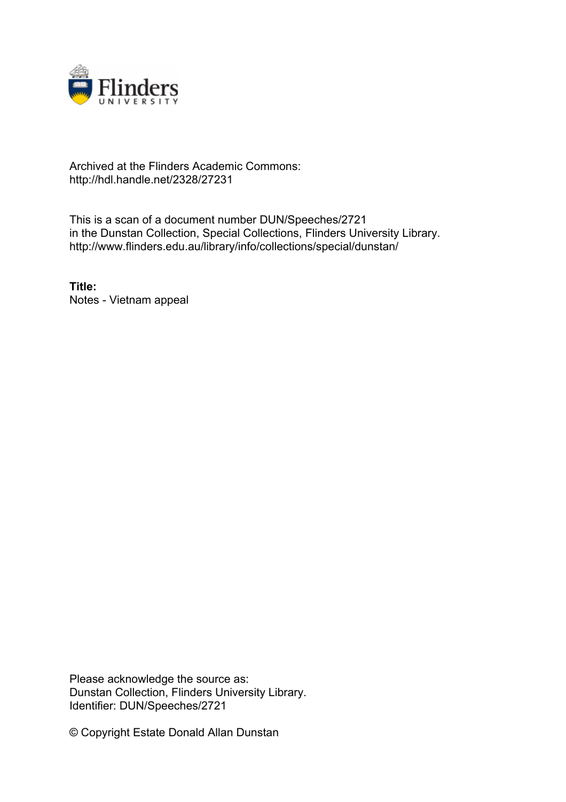

## Archived at the Flinders Academic Commons: http://hdl.handle.net/2328/27231

This is a scan of a document number DUN/Speeches/2721 in the Dunstan Collection, Special Collections, Flinders University Library. http://www.flinders.edu.au/library/info/collections/special/dunstan/

**Title:** Notes - Vietnam appeal

Please acknowledge the source as: Dunstan Collection, Flinders University Library. Identifier: DUN/Speeches/2721

© Copyright Estate Donald Allan Dunstan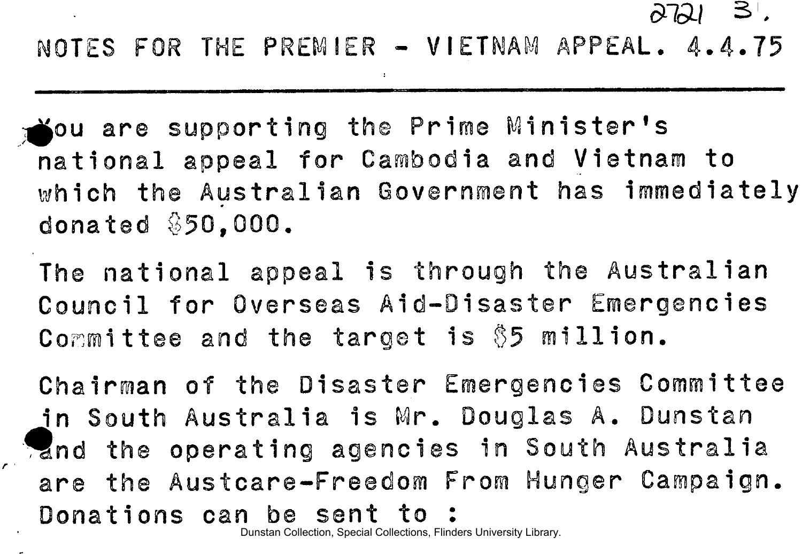*&&1* SI.

NOTES FOR THE PREMIER - VIETNAM APPEAL. 4.4.75

*I* 

**Sou are supporting the Prime Minister's** national appeal for Cambodia and Vietnam to which the Australian Government has immediately donated §50,000 .

The national appeal is through the Australian Council for Overseas Aid-Disaster Emergencies Committee and the target is \$5 million.

Chairman of the Disaster Emergencies Committee in South Australia is Mr. Douglas A. Dunstan 'and the operating agencies in South Australia are the Austcare-Freedom From Hunger Campaign. Donations can be sent to:

Dunstan Collection, Special Collections, Flinders University Library.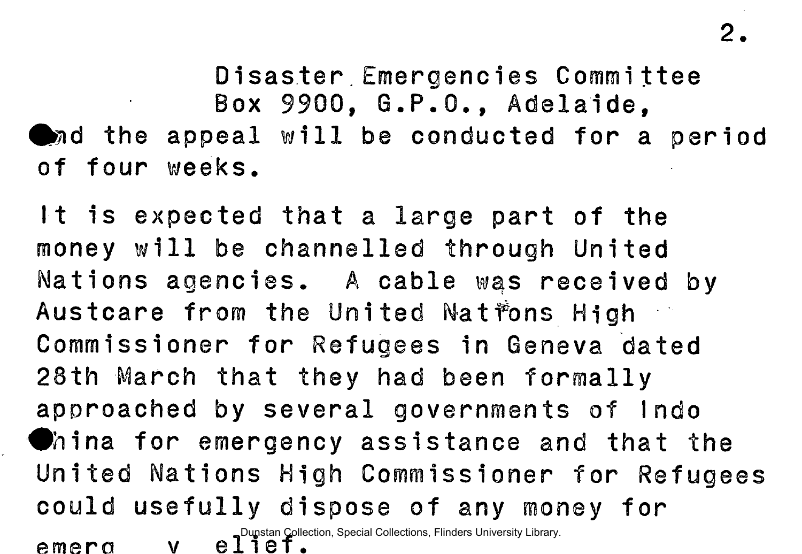Disaster Emergencies Committee Box 9900, G.P.O., Adelaide,  $\bullet$  and the appeal will be conducted for a period of four weeks.

It is expected that a large part of the money will be channelled through United Nations agencies. A cable was received by Austcare from the United Natfons High Commissioner for Refugees in Geneva dated 28th March that they had been formally approached by several governments of Indo **China for emergency assistance and that the** United Nations High Commissioner for Refugees could usefully dispose of any money for  $e$  **meroency v election**, Special Collections, Flinders University Library.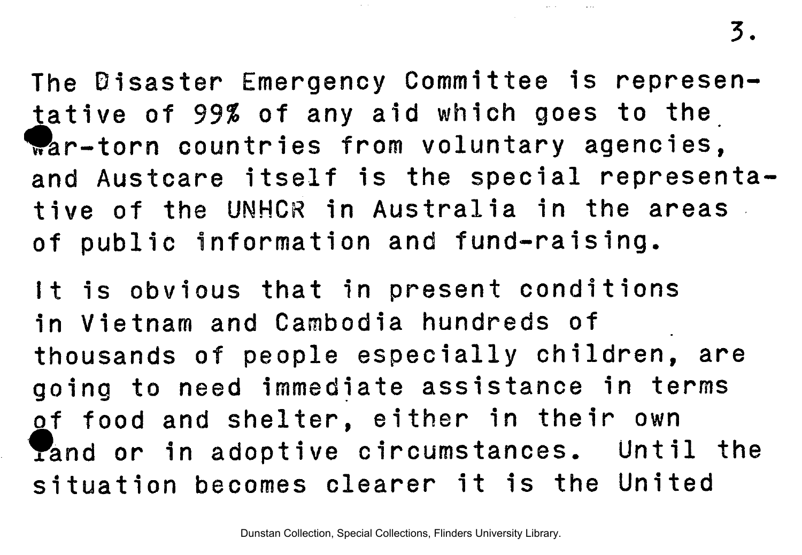3.

The Disaster Emergency Committee is representative of 99% of any aid which goes to the  $\sqrt[n]{a}$ r-torn countries from voluntary agencies, and Austcare itself is the special representative of the UNHCR in Australia in the areas. of public information and fund-raising.

It is obvious that in present conditions in Vietnam and Cambodia hundreds of thousands of people especially children, are going to need immediate assistance in terms of food and shelter, either in their own Tand or in adoptive circumstances. Until the situation becomes clearer it is the United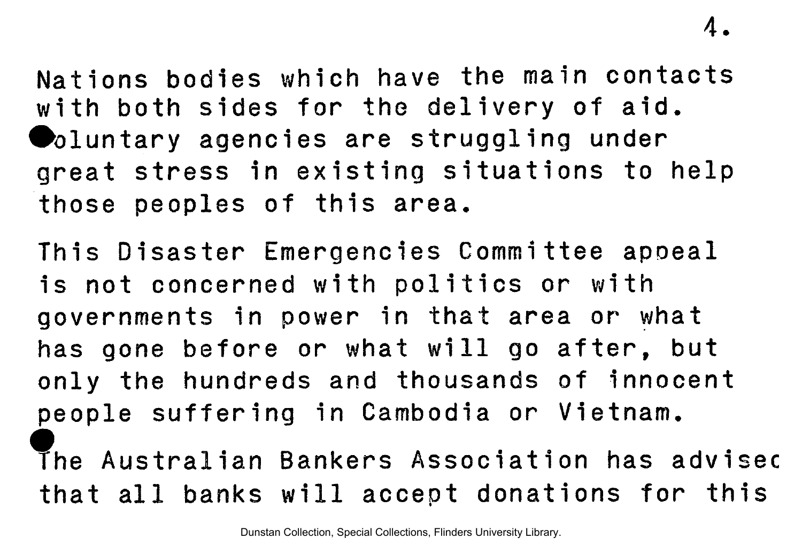4.

Nations bodies which have the main contacts with both sides for the delivery of aid. **Doluntary agencies are struggling under** great stress in existing situations to help those peoples of this area.

This Disaster Emergencies Committee appeal is not concerned with politics or with governments in power in that area or what has gone before or what will go after, but only the hundreds and thousands of innocent people suffering in Cambodia or Vietnam. The Australian Bankers Association has advisec

that all banks will accept donations for this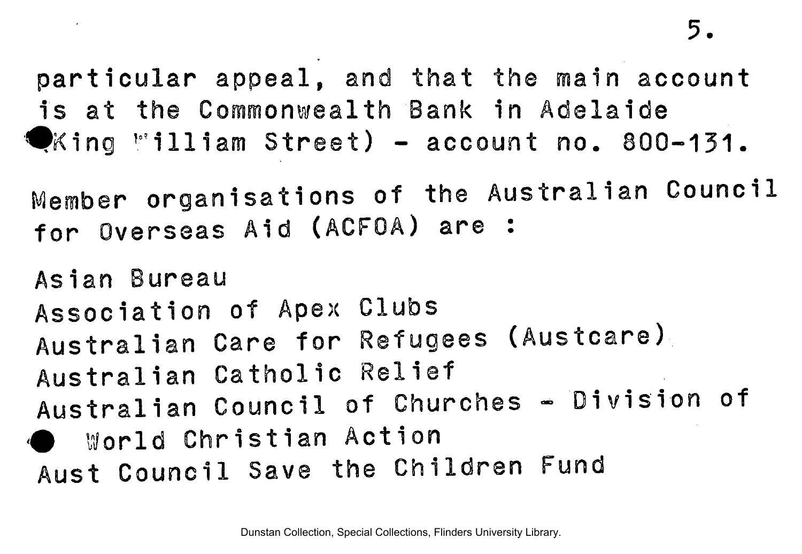particular appeal, and that the main account is at the Commonwealth Bank in Adelaide  $\blacktriangledown$ King "illiam Street) - account no. 800-131.

Member organisations of the Australian Council for Overseas Aid (ACFOA) are :

Asian Bureau Association of Apex Clubs Australian Care for Refugees (Austcare) Australian Catholic Relief Australian Council of Churches - Division of World Christian Action Aust Council Save the Children Fund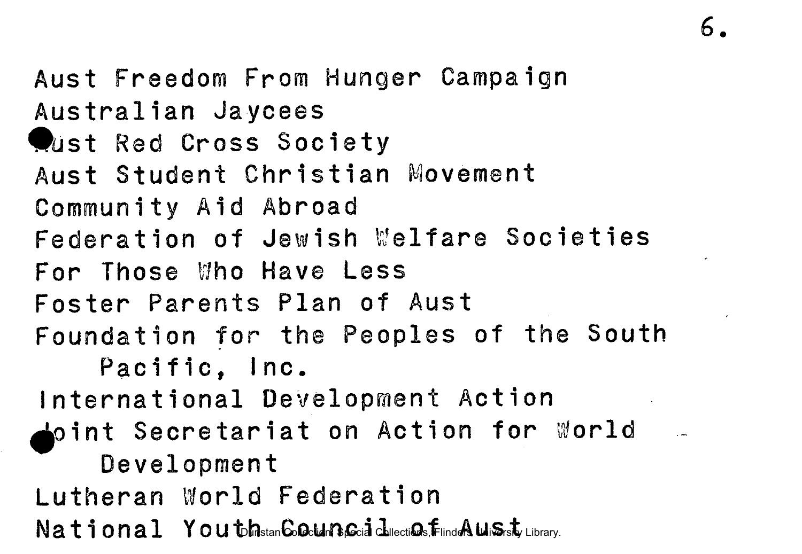Aus t Freedom From Hunger Campaign Australian Jaycees **Wast Red Cross Society** Aust Student Christian Movement Community Aid Abroad Federation of Jewish Welfare Societies For Those Who Have Less Foster Parents Plan of Aust Foundation for the Peoples of the South Pacific. Inc. International Development Action  $\blacktriangle$ oint Secretariat on Action for World  $-$ Development Lutheran World Federation National YoutohistanGoglingGoid chlections,FiindAuliSisty Library.